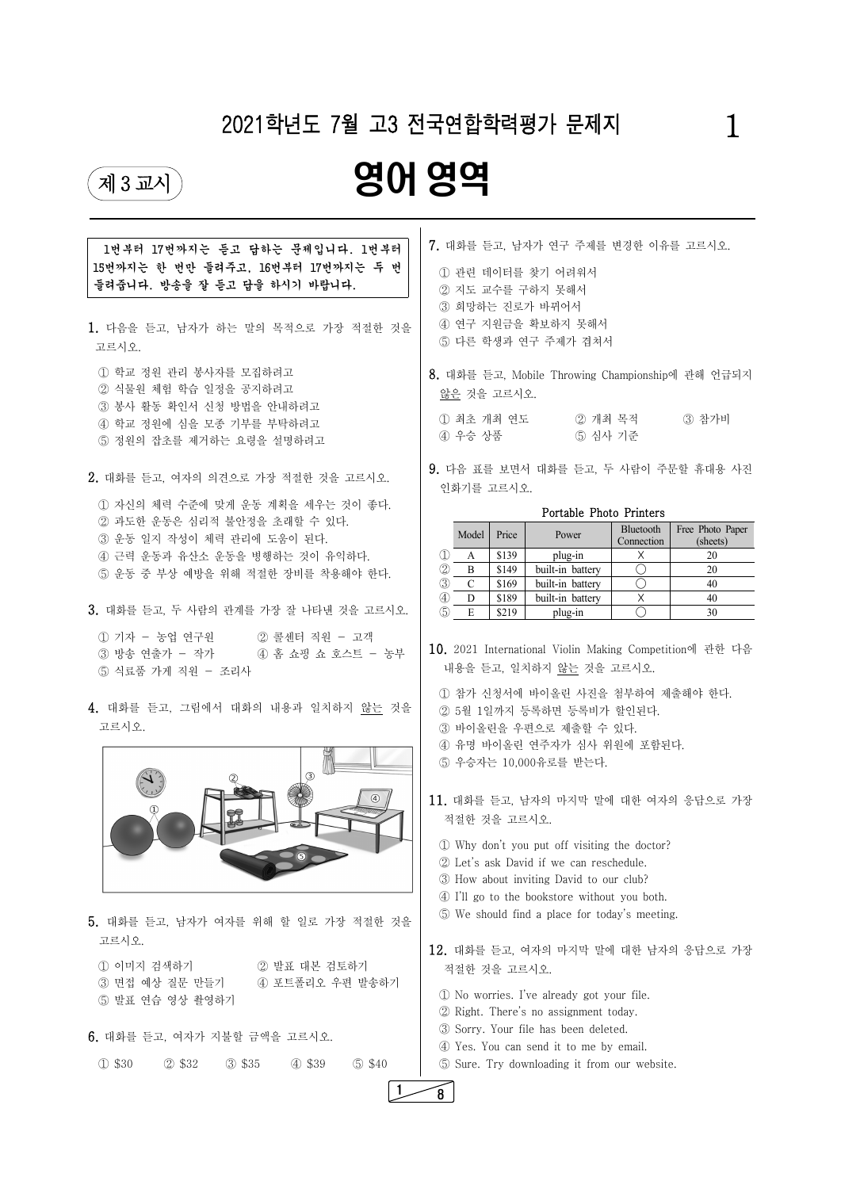| 5. 대화를 듣고, 남자가 여자를 위해 할 일로 가장 적절한 것을                                      | 5 We sh                                                |
|---------------------------------------------------------------------------|--------------------------------------------------------|
| 고르시오.<br>② 발표 대본 검토하기<br>1) 이미지 검색하기<br>③ 면접 예상 질문 만들기<br>4 포트폴리오 우편 발송하기 | 12. 대화를<br>적절한 경                                       |
| 5 발표 연습 영상 촬영하기<br>6. 대화를 듣고, 여자가 지불할 금액을 고르시오.                           | $\mathbb{D}$ No wo<br>② Right.<br>3 Sorry.<br>4 Yes. Y |
| $(D$ \$30<br>$(2)$ \$32<br>$(3)$ \$35<br>4 \$39<br>\$40                   | 5 Sure.                                                |
|                                                                           | 8                                                      |

| 1번부터 17번까지는 듣고 답하는 문제입니다. 1번부터               | 7. 대화를 듣고, 남자가 연구 주제를 변경한 이유를 고르시오.                                                                                           |  |  |  |
|----------------------------------------------|-------------------------------------------------------------------------------------------------------------------------------|--|--|--|
| 15번까지는 한 번만 들려주고, 16번부터 17번까지는 두 번           | 1 관련 데이터를 찾기 어려워서<br>2 지도 교수를 구하지 못해서                                                                                         |  |  |  |
| 들려줍니다. 방송을 잘 듣고 답을 하시기 바랍니다.                 |                                                                                                                               |  |  |  |
|                                              | 3 희망하는 진로가 바뀌어서                                                                                                               |  |  |  |
|                                              | 4 연구 지원금을 확보하지 못해서                                                                                                            |  |  |  |
| 1. 다음을 듣고, 남자가 하는 말의 목적으로 가장 적절한 것을<br>고르시오. | 5 다른 학생과 연구 주제가 겹쳐서                                                                                                           |  |  |  |
| 1 학교 정원 관리 봉사자를 모집하려고                        | 8. 대화를 듣고, Mobile Throwing Championship에 관해 언급되지                                                                              |  |  |  |
| ② 식물원 체험 학습 일정을 공지하려고                        | 않은 것을 고르시오.                                                                                                                   |  |  |  |
| 3 봉사 활동 확인서 신청 방법을 안내하려고                     |                                                                                                                               |  |  |  |
| 4 학교 정원에 심을 모종 기부를 부탁하려고                     | 3 참가비<br>1 최초 개최 연도<br>② 개최 목적                                                                                                |  |  |  |
| 5 정원의 잡초를 제거하는 요령을 설명하려고                     | 5 심사 기준<br>4) 우승 상품                                                                                                           |  |  |  |
| 2. 대화를 듣고, 여자의 의견으로 가장 적절한 것을 고르시오.          | 9. 다음 표를 보면서 대화를 듣고, 두 사람이 주문할 휴대용 사진                                                                                         |  |  |  |
|                                              | 인화기를 고르시오.                                                                                                                    |  |  |  |
| 1 자신의 체력 수준에 맞게 운동 계획을 세우는 것이 좋다.            | Portable Photo Printers                                                                                                       |  |  |  |
| ② 과도한 운동은 심리적 불안정을 초래할 수 있다.                 | Free Photo Paper<br>Bluetooth                                                                                                 |  |  |  |
| 3 운동 일지 작성이 체력 관리에 도움이 된다.                   | Model<br>Price<br>Power<br>Connection<br>(sheets)                                                                             |  |  |  |
| 4 근력 운동과 유산소 운동을 병행하는 것이 유익하다.               | \$139<br>plug-in<br>$\times$<br>20<br>$\mathbf{A}$<br>$\left( \mathbf{1}\right)$                                              |  |  |  |
| 5 운동 중 부상 예방을 위해 적절한 장비를 착용해야 한다.            | $\bigcirc$<br>built-in battery<br>$\circledZ$<br>B<br>\$149<br>20                                                             |  |  |  |
|                                              | $\bigcirc$<br>$\circled{3}$<br>built-in battery<br>$\mathcal{C}$<br>\$169<br>40                                               |  |  |  |
| 3. 대화를 듣고, 두 사람의 관계를 가장 잘 나타낸 것을 고르시오.       | $\times$<br>\$189<br>built-in battery<br>$\circled{4}$<br>D<br>40<br>$\bigcirc$<br>$\circledS$<br>E<br>30<br>\$219<br>plug-in |  |  |  |
|                                              |                                                                                                                               |  |  |  |
| 1) 기자 - 농업 연구원<br>2 콜센터 직원 - 고객              |                                                                                                                               |  |  |  |
| ③ 방송 연출가 - 작가<br>4 홈 쇼핑 쇼 호스트 - 농부           | 10. 2021 International Violin Making Competition에 관한 다음                                                                       |  |  |  |
| 5 식료품 가게 직원 - 조리사                            | 내용을 듣고, 일치하지 않는 것을 고르시오.                                                                                                      |  |  |  |
|                                              | 1 참가 신청서에 바이올린 사진을 첨부하여 제출해야 한다.                                                                                              |  |  |  |
| 4. 대화를 듣고, 그림에서 대화의 내용과 일치하지 않는 것을           | ② 5월 1일까지 등록하면 등록비가 할인된다.                                                                                                     |  |  |  |
| 고르시오.                                        | 3 바이올린을 우편으로 제출할 수 있다.                                                                                                        |  |  |  |
|                                              | 4) 유명 바이올린 연주자가 심사 위원에 포함된다.                                                                                                  |  |  |  |
| $\circled{3}$                                | 5 우승자는 10,000유로를 받는다.                                                                                                         |  |  |  |
|                                              | 11. 대화를 듣고, 남자의 마지막 말에 대한 여자의 응답으로 가장                                                                                         |  |  |  |
|                                              |                                                                                                                               |  |  |  |
|                                              | 적절한 것을 고르시오.                                                                                                                  |  |  |  |
|                                              | 10 Why don't you put off visiting the doctor?                                                                                 |  |  |  |
|                                              | 2 Let's ask David if we can reschedule.                                                                                       |  |  |  |



# 2021학년도 7월 고3 전국연합학력평가 문제지 2021학년도 7월 고3 전국연합학력평가 문제지

# 영어 영역제3교시) 2013년 2012년 1월 1일 1월 1일 1월 1일 1월 1일 1월 1일 1월 1일 1월 1일 1월 1일 1월 1일 1월 1일 1월 1일 1월 1일 1월 1일 1월 1일 1월 1일 1월 1일 1월 1일 1월 1일 1월 1일 1월 1일 1월 1일 1월 1일 1월 1일 1월 1일 1월 1일 1월 1일 1월 1일 1월 1일 1월 1일 1월 1일 1월 1일 1월 1일 1월 1일 1월 1일

③ How about inviting David to our club?

④ I'll go to the bookstore without you both. ⑤ We should find a place for today's meeting.

12. 대화를 듣고, 여자의 마지막 말에 대한 남자의 응답으로 가장 적절한 것을 고르시오.

 ① No worries. I've already got your file. ② Right. There's no assignment today. ③ Sorry. Your file has been deleted. ④ Yes. You can send it to me by email. ⑤ Sure. Try downloading it from our website. 1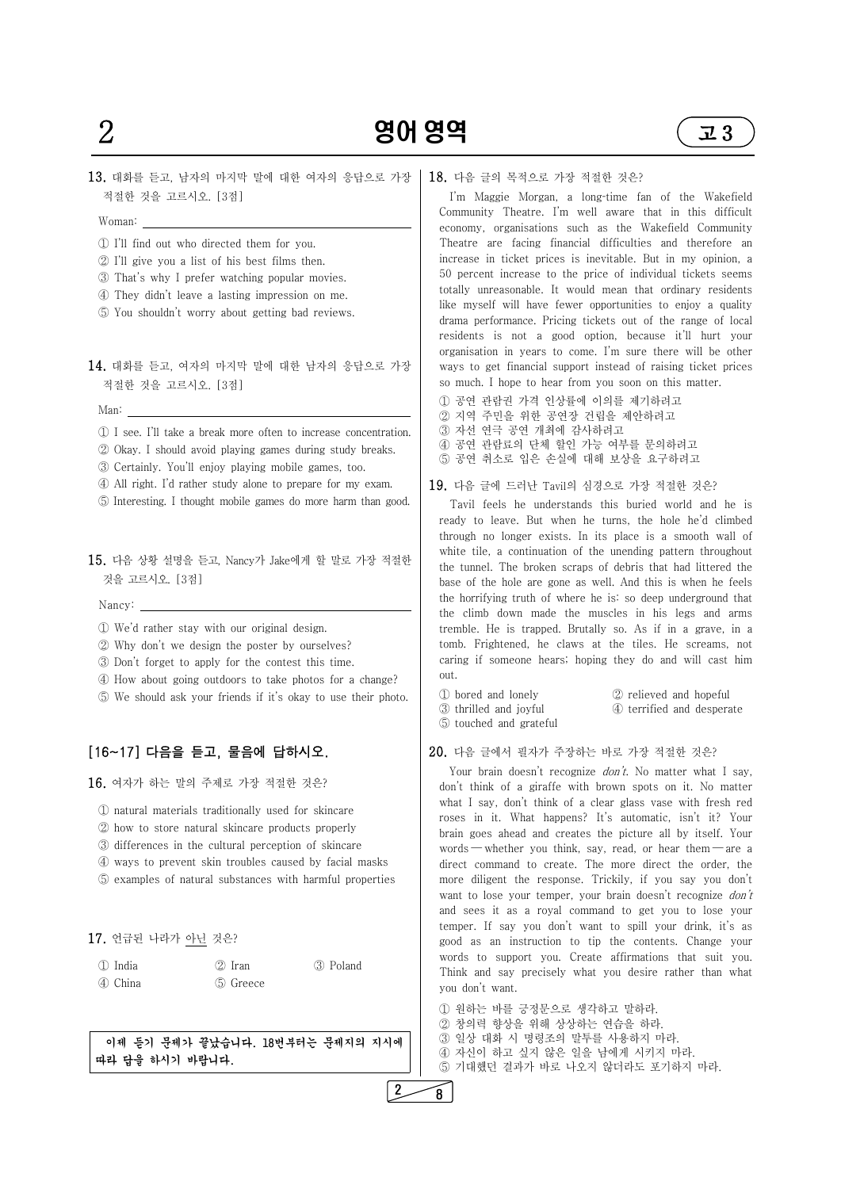

13. 대화를 듣고, 남자의 마지막 말에 대한 여자의 응답으로 가장 적절한 것을 고르시오. [3점]

Woman:

- 
- 
- ① I'll find out who directed them for you. ② I'll give you a list of his best films then. ③ That's why I prefer watching popular movies. ④ They didn't leave a lasting impression on me.
- 
- ⑤ You shouldn't worry about getting bad reviews.
- 14. 대화를 듣고, 여자의 마지막 말에 대한 남자의 응답으로 가장 적절한 것을 고르시오. [3점]

Man:

- 1 See. I'll take a break more often to increase concentration.<br>
2 Okay. I should avoid playing games during study breaks.<br>
3 Certainly. You'll enjoy playing mobile games, too.<br>
4 All right. I'd rather study alone to prepar
- 
- 
- 
- 

- 1 We'd rather stay with our original design.
- ② Why don't we design the poster by ourselves?
- ③ Don't forget to apply for the contest this time.
- ④ How about going outdoors to take photos for a change?
- ⑤ We should ask your friends if it's okay to use their photo.

15. 다음 상황 설명을 듣고, Nancy가 Jake에게 할 말로 가장 적절한 것을 고르시오. [3점]

이제 **듣기 문제가 끝났습니다. 18번부터는 문제지의 지시에 | │ └** ③ 일상 대화 시 명령소의 말투들 사용하지 마다.<br>과 되 온 회사가 있립니다. 따라 답을 하시기 바랍니다.

Nancy:

## [16~17] 다음을 듣고, 물음에 답하시오.

16. 여자가 하는 말의 주제로 가장 적절한 것은?

I'm Maggie Morgan, a long-time fan of the Wakefield Community Theatre. I'm well aware that in this difficult economy, organisations such as the Wakefield Community Theatre are facing financial difficulties and therefore an increase in ticket prices is inevitable. But in my opinion, a 50 percent increase to the price of individual tickets seems totally unreasonable. It would mean that ordinary residents like myself will have fewer opportunities to enjoy a quality drama performance. Pricing tickets out of the range of local residents is not a good option, because it'll hurt your organisation in years to come. I'm sure there will be other ways to get financial support instead of raising ticket prices so much. I hope to hear from you soon on this matter.

- ① natural materials traditionally used for skincare
- ② how to store natural skincare products properly
- ③ differences in the cultural perception of skincare
- ④ ways to prevent skin troubles caused by facial masks
- ⑤ examples of natural substances with harmful properties

 Tavil feels he understands this buried world and he is ready to leave. But when he turns, the hole he'd climbed through no longer exists. In its place is a smooth wall of white tile, a continuation of the unending pattern throughout the tunnel. The broken scraps of debris that had littered the base of the hole are gone as well. And this is when he feels the horrifying truth of where he is: so deep underground that the climb down made the muscles in his legs and arms tremble. He is trapped. Brutally so. As if in a grave, in a tomb. Frightened, he claws at the tiles. He screams, not caring if someone hears; hoping they do and will cast him out.<br>① bored and lonely ② relieved and hopeful<br>③ thrilled and joyful ④ terrified and desperate

|  |  | 17. 언급된 나라가 아닌 것은? |  |  |  |
|--|--|--------------------|--|--|--|
|--|--|--------------------|--|--|--|

| 1 India | $(2)$ Iran | 3 Poland |
|---------|------------|----------|
| 4 China | 5 Greece   |          |

#### 18. 다음 글의 목적으로 가장 적절한 것은?

Your brain doesn't recognize *don't*. No matter what I say, don't think of a giraffe with brown spots on it. No matter what I say, don't think of a clear glass vase with fresh red roses in it. What happens? It's automatic, isn't it? Your brain goes ahead and creates the picture all by itself. Your words — whether you think, say, read, or hear them — are a direct command to create. The more direct the order, the more diligent the response. Trickily, if you say you don't want to lose your temper, your brain doesn't recognize don't and sees it as a royal command to get you to lose your temper. If say you don't want to spill your drink, it's as good as an instruction to tip the contents. Change your words to support you. Create affirmations that suit you. Think and say precisely what you desire rather than what you don't want.

① 원하는 바를 긍정문으로 생각하고 말하라.<br>② 창의력 향상을 위해 상상하는 연습을 하라.<br>③ 일상 대화 시 명령조의 말투를 사용하지 마라. ⑤ 기대했던 결과가 바로 나오지 않더라도 포기하지 마라.

- ① 공연 관람권 가격 인상률에 이의를 제기하려고
- ② 지역 주민을 위한 공연장 건립을 제안하려고
- ③ 자선 연극 공연 개최에 감사하려고
- ④ 공연 관람료의 단체 할인 가능 여부를 문의하려고
- ⑤ 공연 취소로 입은 손실에 대해 보상을 요구하려고

19. 다음 글에 드러난 Tavil의 심경으로 가장 적절한 것은?

- 
- 
- ⑤ touched and grateful

#### 20. 다음 글에서 필자가 주장하는 바로 가장 적절한 것은?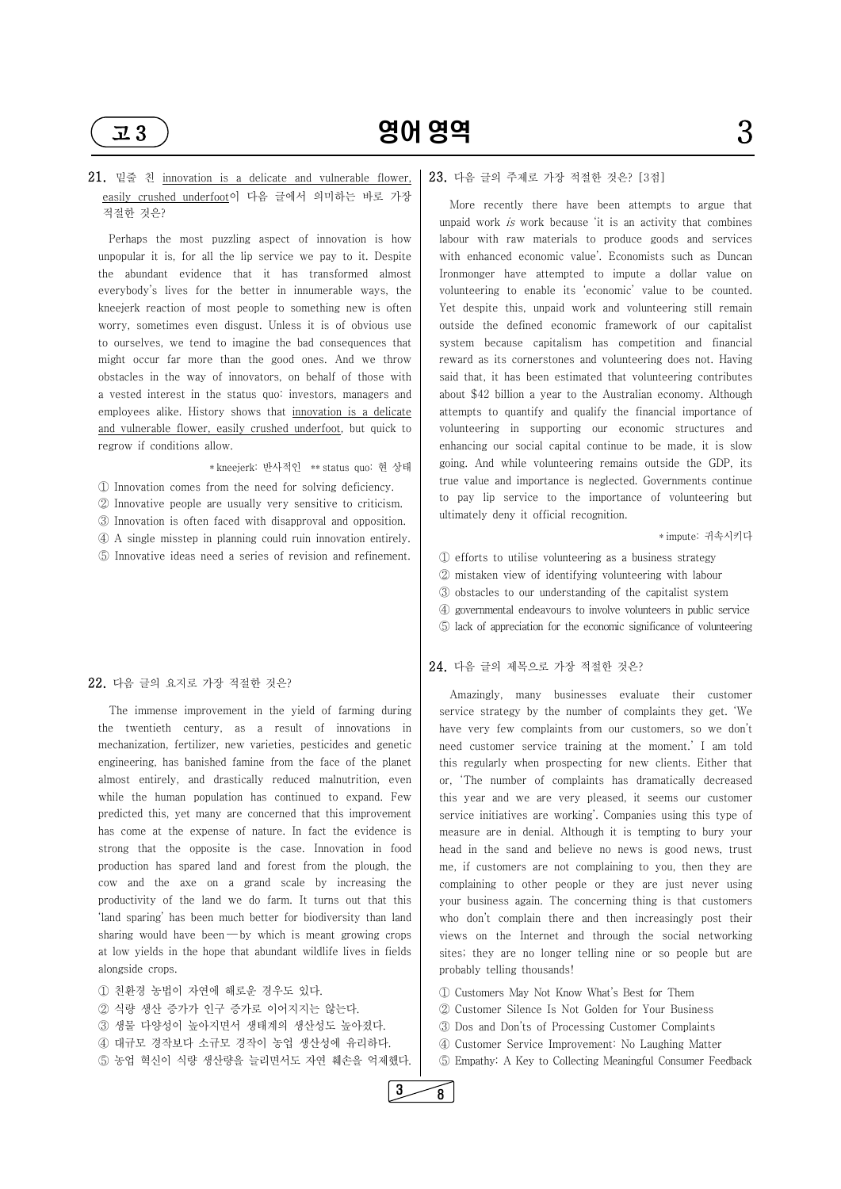

## 21. 밑줄 친 innovation is a delicate and vulnerable flower, easily crushed underfoot이 다음 글에서 의미하는 바로 가장 적절한 것은?

 Perhaps the most puzzling aspect of innovation is how unpopular it is, for all the lip service we pay to it. Despite the abundant evidence that it has transformed almost everybody's lives for the better in innumerable ways, the kneejerk reaction of most people to something new is often worry, sometimes even disgust. Unless it is of obvious use to ourselves, we tend to imagine the bad consequences that might occur far more than the good ones. And we throw obstacles in the way of innovators, on behalf of those with a vested interest in the status quo: investors, managers and employees alike. History shows that innovation is a delicate and vulnerable flower, easily crushed underfoot, but quick to regrow if conditions allow.

\* kneejerk: 반사적인 \*\* status quo: 현 상태

① Innovation comes from the need for solving deficiency.

 $\circled{2}$  Innovative people are usually very sensitive to criticism.<br> $\circled{3}$  Innovation is often faced with disapproval and opposition.<br> $\circled{4}$  A single misstep in planning could ruin innovation entirely.<br> $\circled{5}$  Innova

alongside crops.<br>① 친환경 농법이 자연에 해로운 경우도 있다. ② 식량 생산 증가가 인구 증가로 이어지지는 않는다. ③ 생물 다양성이 높아지면서 생태계의 생산성도 높아졌다. ④ 대규모 경작보다 소규모 경작이 농업 생산성에 유리하다. ⑤ 농업 혁신이 식량 생산량을 늘리면서도 자연 훼손을 억제했다.

#### 22. 다음 글의 요지로 가장 적절한 것은?

 The immense improvement in the yield of farming during the twentieth century, as a result of innovations in mechanization, fertilizer, new varieties, pesticides and genetic engineering, has banished famine from the face of the planet almost entirely, and drastically reduced malnutrition, even while the human population has continued to expand. Few predicted this, yet many are concerned that this improvement has come at the expense of nature. In fact the evidence is strong that the opposite is the case. Innovation in food production has spared land and forest from the plough, the cow and the axe on a grand scale by increasing the productivity of the land we do farm. It turns out that this 'land sparing' has been much better for biodiversity than land sharing would have been — by which is meant growing crops at low yields in the hope that abundant wildlife lives in fields

#### 23. 다음 글의 주제로 가장 적절한 것은? [3점]

 More recently there have been attempts to argue that unpaid work is work because 'it is an activity that combines labour with raw materials to produce goods and services with enhanced economic value'. Economists such as Duncan Ironmonger have attempted to impute a dollar value on volunteering to enable its 'economic' value to be counted. Yet despite this, unpaid work and volunteering still remain outside the defined economic framework of our capitalist system because capitalism has competition and financial reward as its cornerstones and volunteering does not. Having said that, it has been estimated that volunteering contributes about \$42 billion a year to the Australian economy. Although attempts to quantify and qualify the financial importance of volunteering in supporting our economic structures and enhancing our social capital continue to be made, it is slow going. And while volunteering remains outside the GDP, its true value and importance is neglected. Governments continue to pay lip service to the importance of volunteering but ultimately deny it official recognition.

\* impute: 귀속시키다

① efforts to utilise volunteering as a business strategy

- ② mistaken view of identifying volunteering with labour
- ③ obstacles to our understanding of the capitalist system
- ④ governmental endeavours to involve volunteers in public service
- ⑤ lack of appreciation for the economic significance of volunteering

#### 24. 다음 글의 제목으로 가장 적절한 것은?

 Amazingly, many businesses evaluate their customer service strategy by the number of complaints they get. 'We have very few complaints from our customers, so we don't need customer service training at the moment.' I am told this regularly when prospecting for new clients. Either that or, 'The number of complaints has dramatically decreased this year and we are very pleased, it seems our customer service initiatives are working'. Companies using this type of measure are in denial. Although it is tempting to bury your head in the sand and believe no news is good news, trust me, if customers are not complaining to you, then they are complaining to other people or they are just never using

your business again. The concerning thing is that customers who don't complain there and then increasingly post their views on the Internet and through the social networking sites; they are no longer telling nine or so people but are probably telling thousands!

 ① Customers May Not Know What's Best for Them ② Customer Silence Is Not Golden for Your Business ③ Dos and Don'ts of Processing Customer Complaints ④ Customer Service Improvement: No Laughing Matter ⑤ Empathy: A Key to Collecting Meaningful Consumer Feedback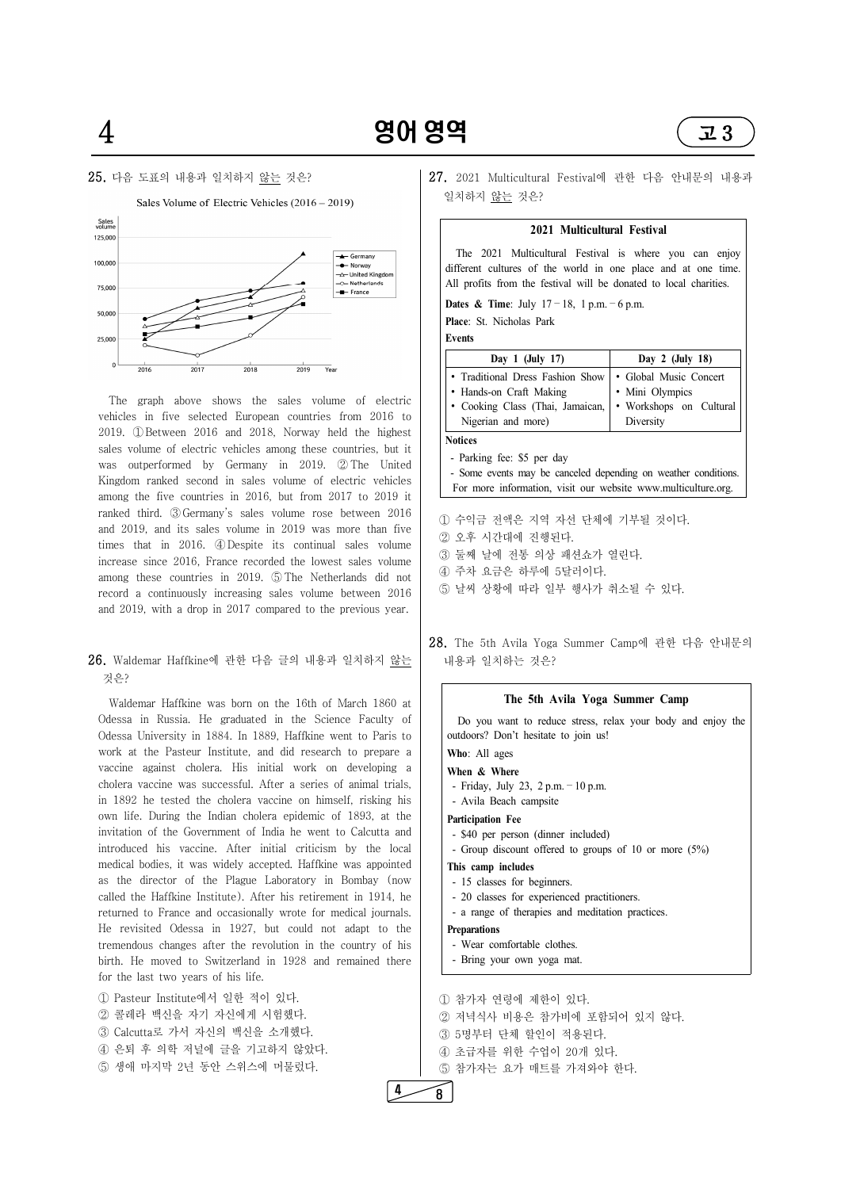



 The graph above shows the sales volume of electric vehicles in five selected European countries from 2016 to 2019. ①Between 2016 and 2018, Norway held the highest sales volume of electric vehicles among these countries, but it was outperformed by Germany in 2019. ②The United Kingdom ranked second in sales volume of electric vehicles among the five countries in 2016, but from 2017 to 2019 it ranked third. ③Germany's sales volume rose between 2016 and 2019, and its sales volume in 2019 was more than five a serie that the series with the series of the series of the series of the series of the series of the series of the series of the series of the series of the seri times that in 2016. 4D Despite its continual sales volume | 중고부 부분에 전통 의상 패션쇼가 열린다.<br>increase since 2016. France recorded the lowest sales volume | ③ 둘째 날에 전통 의상 패션쇼가 열린다. increase since 2016, France recorded the lowest sales volume<br>strange in 2010 © The Natherlands did not 4 주차 요금은 하루에 5달러이다. among these countries in 2019. ⑤The Netherlands did not record a continuously increasing sales volume between 2016 and 2019, with a drop in 2017 compared to the previous year.

## 26. Waldemar Haffkine에 관한 다음 글의 내용과 일치하지 않는 것은?

27. 2021 Multicultural Festival에 관한 다음 안내문의 내용과 일치하지 않는 것은?

 Waldemar Haffkine was born on the 16th of March 1860 at Odessa in Russia. He graduated in the Science Faculty of Odessa University in 1884. In 1889, Haffkine went to Paris to work at the Pasteur Institute, and did research to prepare a vaccine against cholera. His initial work on developing a cholera vaccine was successful. After a series of animal trials, in 1892 he tested the cholera vaccine on himself, risking his own life. During the Indian cholera epidemic of 1893, at the invitation of the Government of India he went to Calcutta and introduced his vaccine. After initial criticism by the local medical bodies, it was widely accepted. Haffkine was appointed as the director of the Plague Laboratory in Bombay (now called the Haffkine Institute). After his retirement in 1914, he returned to France and occasionally wrote for medical journals. He revisited Odessa in 1927, but could not adapt to the tremendous changes after the revolution in the country of his birth. He moved to Switzerland in 1928 and remained there

- ① 수익금 전액은 지역 자선 단체에 기부될 것이다.
- 
- 
- 
- 5 날씨 상황에 따라 일부 행사가 취소될 수 있다.
- 28. The 5th Avila Yoga Summer Camp에 관한 다음 안내문의 내용과 일치하는 것은?

- Wear comfortable clothes.
- Bring your own yoga mat. $\sim$  100  $\mu$

① 참가자 연령에 제한이 있다.<br>② 저녁식사 비용은 참가비에 포함되어 있지 않다. ③ 5명부터 단체 할인이 적용된다. ④ 초급자를 위한 수업이 20개 있다. ⑤ 참가자는 요가 매트를 가져와야 한다.

for the last two years of his life. ① Pasteur Institute에서 일한 적이 있다. ② 콜레라 백신을 자기 자신에게 시험했다.<br>③ Calcutta로 가서 자신의 백신을 소개했다.<br>④ 은퇴 후 의학 저널에 글을 기고하지 않았다. ⑤ 생애 마지막 2년 동안 스위스에 머물렀다.

#### **2021 Multicultural Festival**

 The 2021 Multicultural Festival is where you can enjoy different cultures of the world in one place and at one time. All profits from the festival will be donated to local charities.

**Dates & Time**: July 17 – 18, 1 p.m. – 6 p.m.

**Place**: St. Nicholas Park

**Events**

| Day 1 (July 17)                  | Day $2$ (July 18)       |
|----------------------------------|-------------------------|
| • Traditional Dress Fashion Show | • Global Music Concert  |
| • Hands-on Craft Making          | • Mini Olympics         |
| · Cooking Class (Thai, Jamaican, | • Workshops on Cultural |
| Nigerian and more)               | Diversity               |

**Notices**

- Parking fee: \$5 per day

- Some events may be canceled depending on weather conditions. For more information, visit our website www.multiculture.org.

## **The 5th Avila Yoga Summer Camp**

 Do you want to reduce stress, relax your body and enjoy the outdoors? Don't hesitate to join us!

#### **Who**: All ages

- **When & Where**
- Friday, July 23, 2 p.m.– 10 p.m.
- Avila Beach campsite

### **Participation Fee**

- 
- \$40 per person (dinner included) Group discount offered to groups of 10 or more (5%)

#### **This camp includes**

- 
- 15 classes for beginners. 20 classes for experienced practitioners.

- a range of therapies and meditation practices.

#### **Preparations**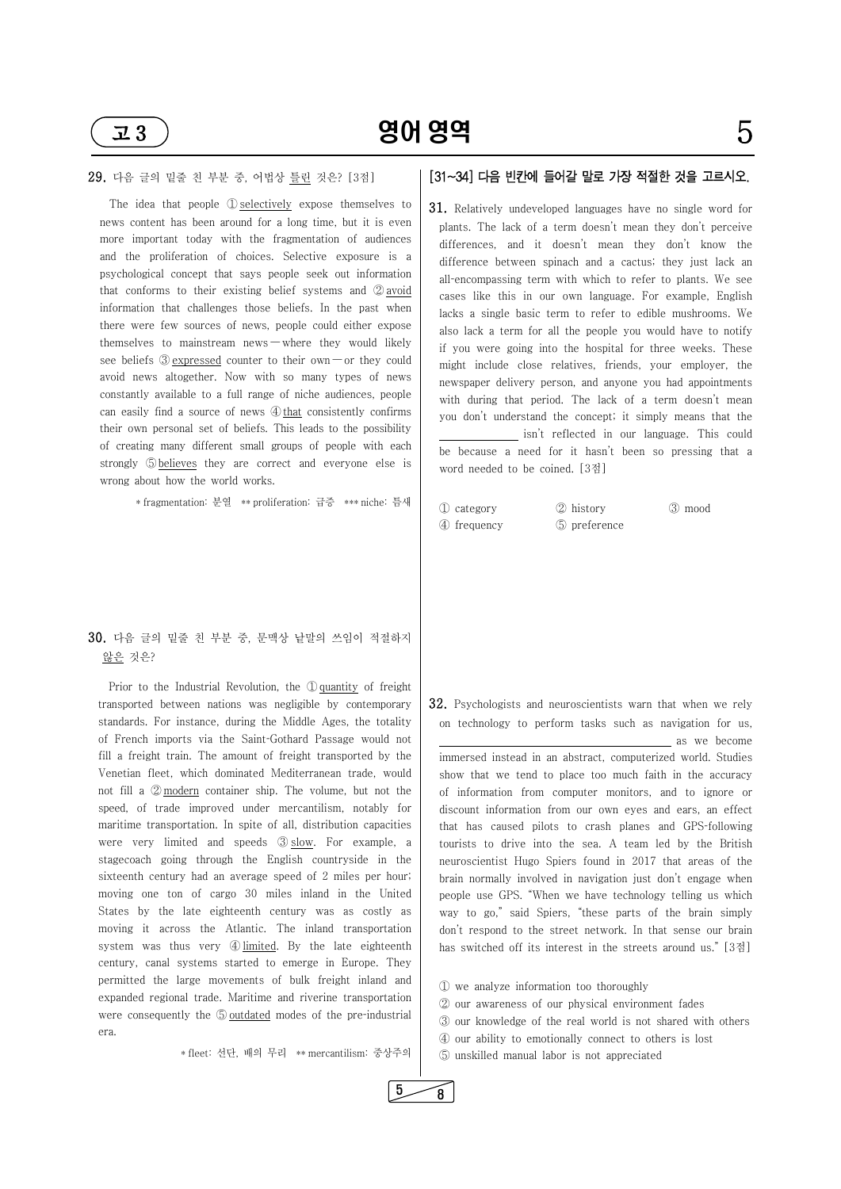

## 29. 다음 글의 밑줄 친 부분 중, 어법상 틀린 것은? [3점]

The idea that people ① selectively expose themselves to news content has been around for a long time, but it is even more important today with the fragmentation of audiences and the proliferation of choices. Selective exposure is a psychological concept that says people seek out information that conforms to their existing belief systems and  $\oslash$  avoid information that challenges those beliefs. In the past when there were few sources of news, people could either expose themselves to mainstream news — where they would likely see beliefs  $\circled{3}$  expressed counter to their own — or they could avoid news altogether. Now with so many types of news constantly available to a full range of niche audiences, people can easily find a source of news  $\Phi$  that consistently confirms their own personal set of beliefs. This leads to the possibility of creating many different small groups of people with each strongly **b**elieves they are correct and everyone else is wrong about how the world works.

\* fragmentation: 분열 \*\* proliferation: 급증 \*\*\* niche: 틈새

## 30. 다음 글의 밑줄 친 부분 중, 문맥상 낱말의 쓰임이 적절하지 않은 것은?

 Prior to the Industrial Revolution, the ①quantity of freight transported between nations was negligible by contemporary standards. For instance, during the Middle Ages, the totality of French imports via the Saint-Gothard Passage would not fill a freight train. The amount of freight transported by the Venetian fleet, which dominated Mediterranean trade, would not fill a ② modern container ship. The volume, but not the speed, of trade improved under mercantilism, notably for maritime transportation. In spite of all, distribution capacities were very limited and speeds 3 slow. For example, a stagecoach going through the English countryside in the sixteenth century had an average speed of 2 miles per hour; moving one ton of cargo 30 miles inland in the United States by the late eighteenth century was as costly as moving it across the Atlantic. The inland transportation system was thus very 4 limited. By the late eighteenth century, canal systems started to emerge in Europe. They permitted the large movements of bulk freight inland and expanded regional trade. Maritime and riverine transportation were consequently the  $\odot$  outdated modes of the pre-industrial era.

\* fleet: 선단, 배의 무리 \*\* mercantilism: 중상주의

## [31~34] 다음 빈칸에 들어갈 말로 가장 적절한 것을 고르시오.

31. Relatively undeveloped languages have no single word for plants. The lack of a term doesn't mean they don't perceive differences, and it doesn't mean they don't know the difference between spinach and a cactus; they just lack an all-encompassing term with which to refer to plants. We see cases like this in our own language. For example, English lacks a single basic term to refer to edible mushrooms. We also lack a term for all the people you would have to notify if you were going into the hospital for three weeks. These might include close relatives, friends, your employer, the newspaper delivery person, and anyone you had appointments with during that period. The lack of a term doesn't mean you don't understand the concept; it simply means that the

 isn't reflected in our language. This could be because a need for it hasn't been so pressing that a word needed to be coined. [3점]

③ mood

| ① category  | 2 history    |
|-------------|--------------|
| 4 frequency | 5 preference |

32. Psychologists and neuroscientists warn that when we rely on technology to perform tasks such as navigation for us, as we become

immersed instead in an abstract, computerized world. Studies show that we tend to place too much faith in the accuracy of information from computer monitors, and to ignore or discount information from our own eyes and ears, an effect that has caused pilots to crash planes and GPS-following tourists to drive into the sea. A team led by the British neuroscientist Hugo Spiers found in 2017 that areas of the brain normally involved in navigation just don't engage when people use GPS. "When we have technology telling us which way to go," said Spiers, "these parts of the brain simply don't respond to the street network. In that sense our brain has switched off its interest in the streets around us." [3점]

 ① we analyze information too thoroughly ② our awareness of our physical environment fades ③ our knowledge of the real world is not shared with others ④ our ability to emotionally connect to others is lost ⑤ unskilled manual labor is not appreciated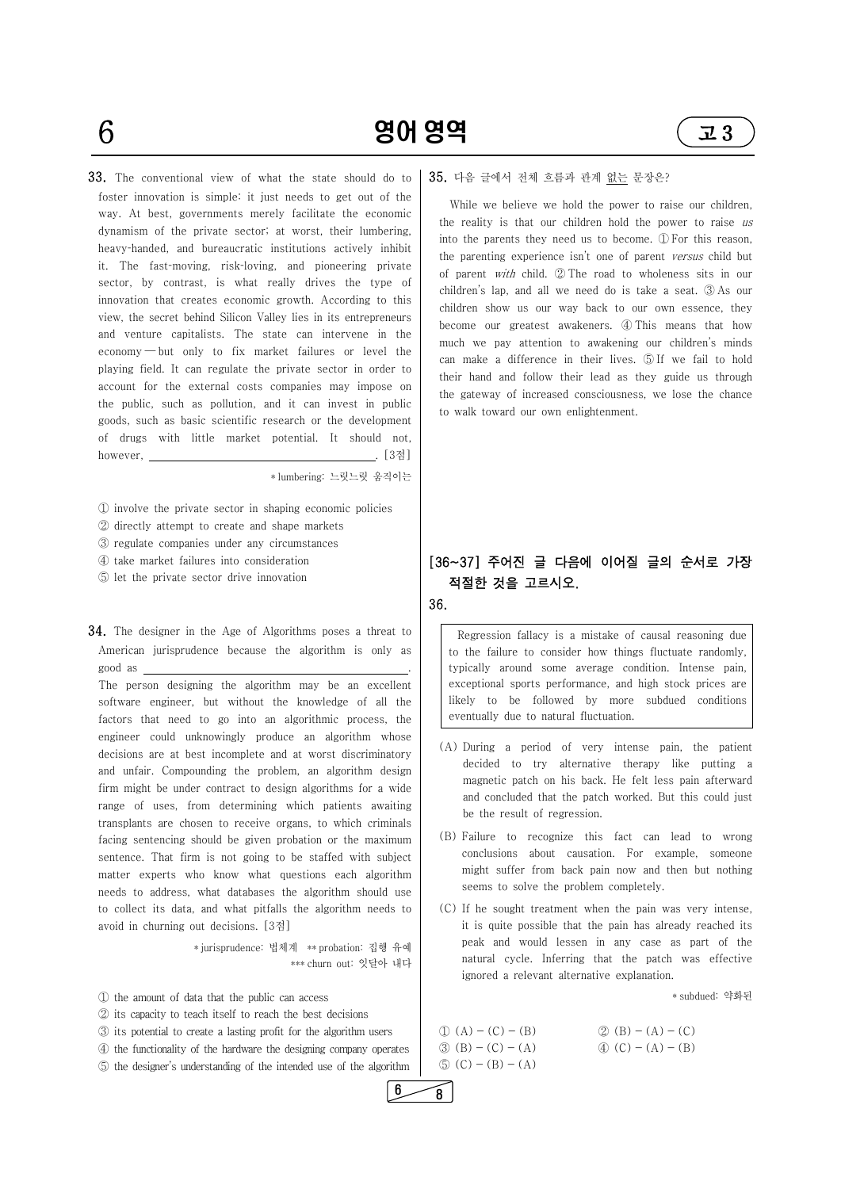$6$  80 영어 영역 23

33. The conventional view of what the state should do to foster innovation is simple: it just needs to get out of the way. At best, governments merely facilitate the economic dynamism of the private sector; at worst, their lumbering, heavy-handed, and bureaucratic institutions actively inhibit it. The fast-moving, risk-loving, and pioneering private sector, by contrast, is what really drives the type of innovation that creates economic growth. According to this view, the secret behind Silicon Valley lies in its entrepreneurs and venture capitalists. The state can intervene in the economy ― but only to fix market failures or level the playing field. It can regulate the private sector in order to account for the external costs companies may impose on the public, such as pollution, and it can invest in public goods, such as basic scientific research or the development of drugs with little market potential. It should not, however,  $\qquad \qquad \qquad . \qquad [3\&1]$ 



\* lumbering: 느릿느릿 움직이는

① involve the private sector in shaping economic policies

- ② directly attempt to create and shape markets
- ③ regulate companies under any circumstances
- ④ take market failures into consideration
- ⑤ let the private sector drive innovation

## 34. The designer in the Age of Algorithms poses a threat to American jurisprudence because the algorithm is only as good as . The person designing the algorithm may be an excellent

software engineer, but without the knowledge of all the factors that need to go into an algorithmic process, the engineer could unknowingly produce an algorithm whose decisions are at best incomplete and at worst discriminatory and unfair. Compounding the problem, an algorithm design firm might be under contract to design algorithms for a wide range of uses, from determining which patients awaiting transplants are chosen to receive organs, to which criminals facing sentencing should be given probation or the maximum sentence. That firm is not going to be staffed with subject matter experts who know what questions each algorithm needs to address, what databases the algorithm should use

to collect its data, and what pitfalls the algorithm needs to avoid in churning out decisions. [3점]

\* jurisprudence: 법체계 \*\* probation: 집행 유예 \*\*\* churn out: 잇달아 내다

 ① the amount of data that the public can access ② its capacity to teach itself to reach the best decisions ③ its potential to create a lasting profit for the algorithm users  $\Phi$  the functionality of the hardware the designing company operates  $\phi$  (B) – (C) – (A) ⑤ the designer's understanding of the intended use of the algorithm

### 35. 다음 글에서 전체 흐름과 관계 없는 문장은?

 While we believe we hold the power to raise our children, the reality is that our children hold the power to raise us into the parents they need us to become. ① For this reason, the parenting experience isn't one of parent versus child but of parent with child. ② The road to wholeness sits in our children's lap, and all we need do is take a seat. ③ As our children show us our way back to our own essence, they become our greatest awakeners. ④ This means that how much we pay attention to awakening our children's minds can make a difference in their lives. ⑤ If we fail to hold their hand and follow their lead as they guide us through the gateway of increased consciousness, we lose the chance to walk toward our own enlightenment.

## [36~37] 주어진 글 다음에 이어질 글의 순서로 가장 적절한 것을 고르시오.

36.

 likely to be followed by more subdued conditions Regression fallacy is a mistake of causal reasoning due to the failure to consider how things fluctuate randomly, typically around some average condition. Intense pain, exceptional sports performance, and high stock prices are eventually due to natural fluctuation.

- (A) During a period of very intense pain, the patient decided to try alternative therapy like putting a magnetic patch on his back. He felt less pain afterward and concluded that the patch worked. But this could just be the result of regression. (B) Failure to recognize this fact can lead to wrong
- conclusions about causation. For example, someone might suffer from back pain now and then but nothing

seems to solve the problem completely. (C) If he sought treatment when the pain was very intense, it is quite possible that the pain has already reached its peak and would lessen in any case as part of the natural cycle. Inferring that the patch was effective ignored a relevant alternative explanation.

\* subdued: 약화된

 $\textcircled{1}$  (A) - (C) - (B)  $\textcircled{2}$  (B) - (A) - (C)  $\textcircled{4}$  (C) – (A) – (B)  $\circled{5}$  (C) – (B) – (A)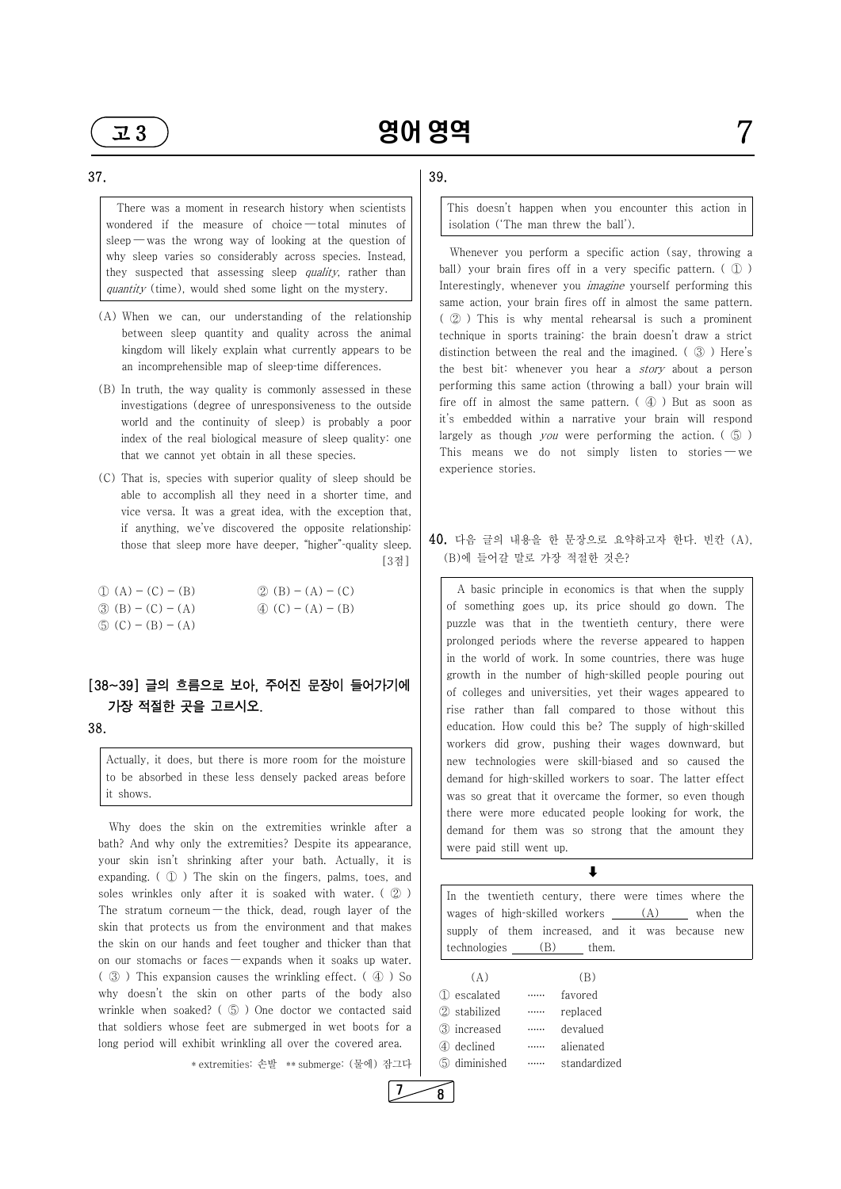they suspected that assessing sleep *quality*, rather than  $\left| \begin{array}{c} \end{array} \right|$  There was a moment in research history when scientists wondered if the measure of choice ― total minutes of sleep — was the wrong way of looking at the question of why sleep varies so considerably across species. Instead, quantity (time), would shed some light on the mystery.

Actually, it does, but there is more room for the moisture<br>to be absorbed in these less densely packed areas before<br>it shows. to be absorbed in these less densely packed areas before it shows.

- (A) When we can, our understanding of the relationship between sleep quantity and quality across the animal kingdom will likely explain what currently appears to be an incomprehensible map of sleep-time differences.<br>(B) In truth, the way quality is commonly assessed in these
- investigations (degree of unresponsiveness to the outside world and the continuity of sleep) is probably a poor index of the real biological measure of sleep quality: one that we cannot yet obtain in all these species. (C) That is, species with superior quality of sleep should be
- able to accomplish all they need in a shorter time, and vice versa. It was a great idea, with the exception that, if anything, we've discovered the opposite relationship: those that sleep more have deeper, "higher"-quality sleep. [3점]

The stratum corneum — the thick, dead, rough layer of the skin that protects us from the environment and that makes the skin on our hands and feet tougher and thicker than that on our stomachs or faces — expands when it soaks up water. ( ③ ) This expansion causes the wrinkling effect. ( ④ ) So why doesn't the skin on other parts of the body also wrinkle when soaked? ( ⑤ ) One doctor we contacted said that soldiers whose feet are submerged in wet boots for a long period will exhibit wrinkling all over the covered area.

| $(1) (A) - (C) - (B)$             | $(2)(B) - (A) - (C)$              |
|-----------------------------------|-----------------------------------|
| $\textcircled{3}$ (B) – (C) – (A) | $\textcircled{4}$ (C) – (A) – (B) |
| $\textcircled{5}$ (C) – (B) – (A) |                                   |

## [38~39] 글의 흐름으로 보아, 주어진 문장이 들어가기에 가장 적절한 곳을 고르시오.

#### 38.

 Why does the skin on the extremities wrinkle after a bath? And why only the extremities? Despite its appearance, your skin isn't shrinking after your bath. Actually, it is expanding. ( ① ) The skin on the fingers, palms, toes, and soles wrinkles only after it is soaked with water. ( ② )

\* extremities: 손발 \*\* submerge: (물에) 잠그다

 $7 \rightarrow 8$ 

## 39.

This doesn't happen when you encounter this action in isolation ('The man threw the ball').

 Whenever you perform a specific action (say, throwing a ball) your brain fires off in a very specific pattern. ( $\mathbb{D}$ ) Interestingly, whenever you *imagine* yourself performing this same action, your brain fires off in almost the same pattern. ( ② ) This is why mental rehearsal is such a prominent technique in sports training: the brain doesn't draw a strict distinction between the real and the imagined. ( ③ ) Here's the best bit: whenever you hear a *story* about a person performing this same action (throwing a ball) your brain will fire off in almost the same pattern.  $(\varphi)$  But as soon as it's embedded within a narrative your brain will respond largely as though *you* were performing the action.  $(\circled{5})$ This means we do not simply listen to stories — we experience stories.

## 40. 다음 글의 내용을 한 문장으로 요약하고자 한다. 빈칸 (A), (B)에 들어갈 말로 가장 적절한 것은?

 A basic principle in economics is that when the supply of something goes up, its price should go down. The puzzle was that in the twentieth century, there were prolonged periods where the reverse appeared to happen in the world of work. In some countries, there was huge growth in the number of high-skilled people pouring out of colleges and universities, yet their wages appeared to rise rather than fall compared to those without this education. How could this be? The supply of high-skilled workers did grow, pushing their wages downward, but new technologies were skill-biased and so caused the demand for high-skilled workers to soar. The latter effect was so great that it overcame the former, so even though there were more educated people looking for work, the demand for them was so strong that the amount they were paid still went up.

#### $\ddagger$

In the twentieth century, there were times where the wages of high-skilled workers  $(A)$  when the supply of them increased, and it was because new technologies (B) them.

| (A)               | B.           |
|-------------------|--------------|
| 1 escalated       | favored      |
| 2 stabilized      | replaced     |
| 3 increased       | devalued     |
| 4 declined        | alienated    |
| diminished<br>(5) | standardized |